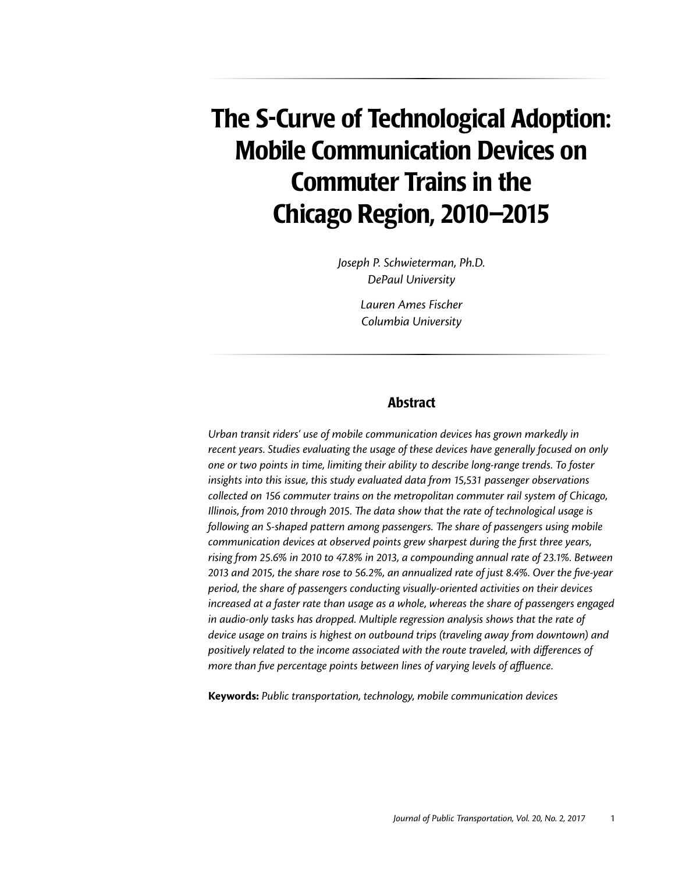# The S-Curve of Technological Adoption: Mobile Communication Devices on Commuter Trains in the Chicago Region, 2010–2015

*Joseph P. Schwieterman, Ph.D. DePaul University Lauren Ames Fischer*

*Columbia University*

#### Abstract

*Urban transit riders' use of mobile communication devices has grown markedly in recent years. Studies evaluating the usage of these devices have generally focused on only one or two points in time, limiting their ability to describe long-range trends. To foster insights into this issue, this study evaluated data from 15,531 passenger observations collected on 156 commuter trains on the metropolitan commuter rail system of Chicago, Illinois, from 2010 through 2015. The data show that the rate of technological usage is following an S-shaped pattern among passengers. The share of passengers using mobile communication devices at observed points grew sharpest during the first three years, rising from 25.6% in 2010 to 47.8% in 2013, a compounding annual rate of 23.1%. Between 2013 and 2015, the share rose to 56.2%, an annualized rate of just 8.4%. Over the five-year period, the share of passengers conducting visually-oriented activities on their devices increased at a faster rate than usage as a whole, whereas the share of passengers engaged in audio-only tasks has dropped. Multiple regression analysis shows that the rate of device usage on trains is highest on outbound trips (traveling away from downtown) and positively related to the income associated with the route traveled, with differences of more than five percentage points between lines of varying levels of affluence.* 

**Keywords:** *Public transportation, technology, mobile communication devices*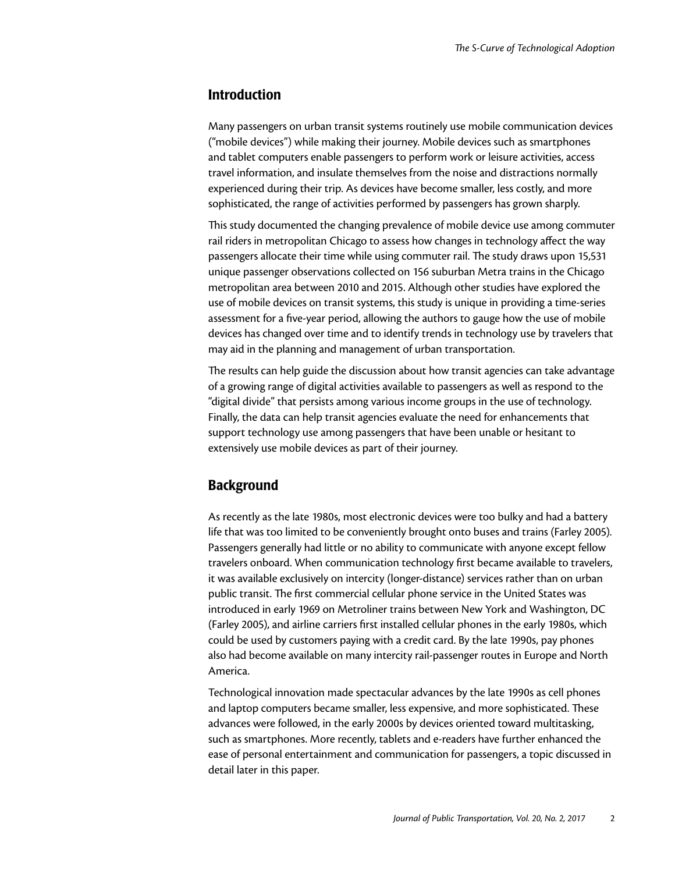#### Introduction

Many passengers on urban transit systems routinely use mobile communication devices ("mobile devices") while making their journey. Mobile devices such as smartphones and tablet computers enable passengers to perform work or leisure activities, access travel information, and insulate themselves from the noise and distractions normally experienced during their trip. As devices have become smaller, less costly, and more sophisticated, the range of activities performed by passengers has grown sharply.

This study documented the changing prevalence of mobile device use among commuter rail riders in metropolitan Chicago to assess how changes in technology affect the way passengers allocate their time while using commuter rail. The study draws upon 15,531 unique passenger observations collected on 156 suburban Metra trains in the Chicago metropolitan area between 2010 and 2015. Although other studies have explored the use of mobile devices on transit systems, this study is unique in providing a time-series assessment for a five-year period, allowing the authors to gauge how the use of mobile devices has changed over time and to identify trends in technology use by travelers that may aid in the planning and management of urban transportation.

The results can help guide the discussion about how transit agencies can take advantage of a growing range of digital activities available to passengers as well as respond to the "digital divide" that persists among various income groups in the use of technology. Finally, the data can help transit agencies evaluate the need for enhancements that support technology use among passengers that have been unable or hesitant to extensively use mobile devices as part of their journey.

### **Background**

As recently as the late 1980s, most electronic devices were too bulky and had a battery life that was too limited to be conveniently brought onto buses and trains (Farley 2005). Passengers generally had little or no ability to communicate with anyone except fellow travelers onboard. When communication technology first became available to travelers, it was available exclusively on intercity (longer-distance) services rather than on urban public transit. The first commercial cellular phone service in the United States was introduced in early 1969 on Metroliner trains between New York and Washington, DC (Farley 2005), and airline carriers first installed cellular phones in the early 1980s, which could be used by customers paying with a credit card. By the late 1990s, pay phones also had become available on many intercity rail-passenger routes in Europe and North America.

Technological innovation made spectacular advances by the late 1990s as cell phones and laptop computers became smaller, less expensive, and more sophisticated. These advances were followed, in the early 2000s by devices oriented toward multitasking, such as smartphones. More recently, tablets and e-readers have further enhanced the ease of personal entertainment and communication for passengers, a topic discussed in detail later in this paper.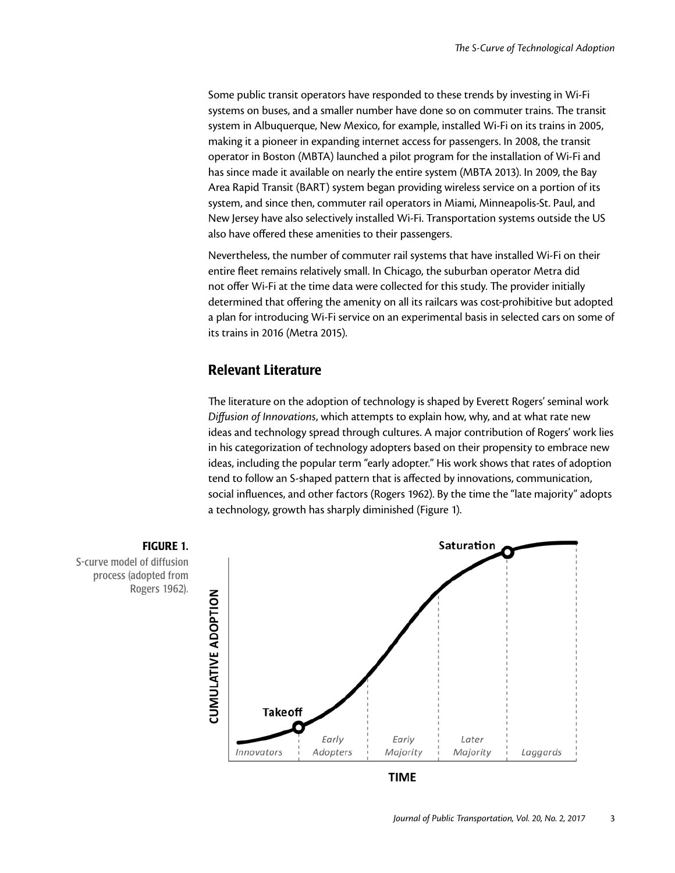Some public transit operators have responded to these trends by investing in Wi-Fi systems on buses, and a smaller number have done so on commuter trains. The transit system in Albuquerque, New Mexico, for example, installed Wi-Fi on its trains in 2005, making it a pioneer in expanding internet access for passengers. In 2008, the transit operator in Boston (MBTA) launched a pilot program for the installation of Wi-Fi and has since made it available on nearly the entire system (MBTA 2013). In 2009, the Bay Area Rapid Transit (BART) system began providing wireless service on a portion of its system, and since then, commuter rail operators in Miami, Minneapolis-St. Paul, and New Jersey have also selectively installed Wi-Fi. Transportation systems outside the US also have offered these amenities to their passengers.

Nevertheless, the number of commuter rail systems that have installed Wi-Fi on their entire fleet remains relatively small. In Chicago, the suburban operator Metra did not offer Wi-Fi at the time data were collected for this study. The provider initially determined that offering the amenity on all its railcars was cost-prohibitive but adopted a plan for introducing Wi-Fi service on an experimental basis in selected cars on some of its trains in 2016 (Metra 2015).

#### Relevant Literature

The literature on the adoption of technology is shaped by Everett Rogers' seminal work *Diffusion of Innovations*, which attempts to explain how, why, and at what rate new ideas and technology spread through cultures. A major contribution of Rogers' work lies in his categorization of technology adopters based on their propensity to embrace new ideas, including the popular term "early adopter." His work shows that rates of adoption tend to follow an S-shaped pattern that is affected by innovations, communication, social influences, and other factors (Rogers 1962). By the time the "late majority" adopts a technology, growth has sharply diminished (Figure 1).



**TIME** 

S-curve model of diffusion process (adopted from Rogers 1962).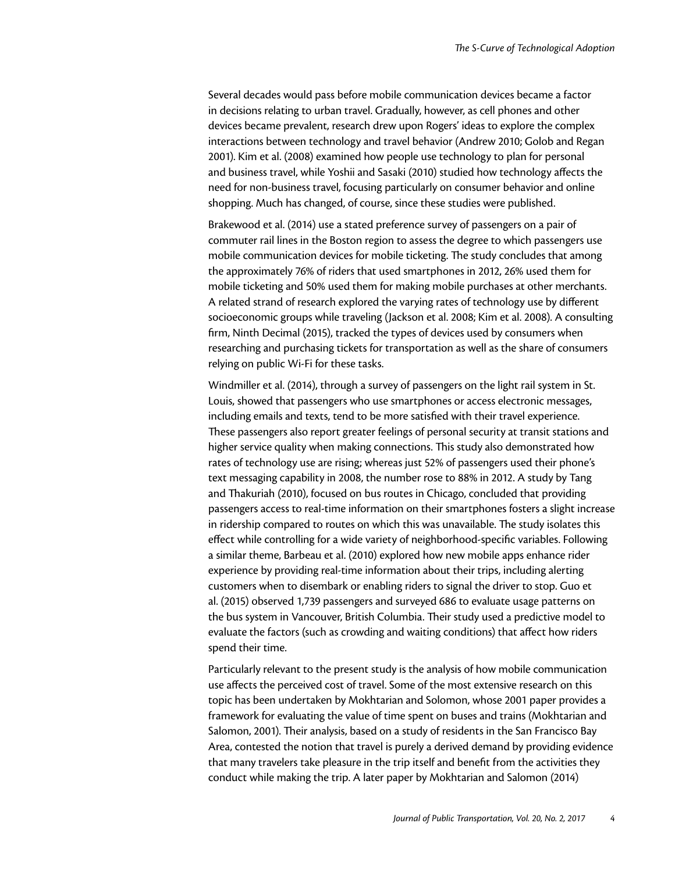Several decades would pass before mobile communication devices became a factor in decisions relating to urban travel. Gradually, however, as cell phones and other devices became prevalent, research drew upon Rogers' ideas to explore the complex interactions between technology and travel behavior (Andrew 2010; Golob and Regan 2001). Kim et al. (2008) examined how people use technology to plan for personal and business travel, while Yoshii and Sasaki (2010) studied how technology affects the need for non-business travel, focusing particularly on consumer behavior and online shopping. Much has changed, of course, since these studies were published.

Brakewood et al. (2014) use a stated preference survey of passengers on a pair of commuter rail lines in the Boston region to assess the degree to which passengers use mobile communication devices for mobile ticketing. The study concludes that among the approximately 76% of riders that used smartphones in 2012, 26% used them for mobile ticketing and 50% used them for making mobile purchases at other merchants. A related strand of research explored the varying rates of technology use by different socioeconomic groups while traveling (Jackson et al. 2008; Kim et al. 2008). A consulting firm, Ninth Decimal (2015), tracked the types of devices used by consumers when researching and purchasing tickets for transportation as well as the share of consumers relying on public Wi-Fi for these tasks.

Windmiller et al. (2014), through a survey of passengers on the light rail system in St. Louis, showed that passengers who use smartphones or access electronic messages, including emails and texts, tend to be more satisfied with their travel experience. These passengers also report greater feelings of personal security at transit stations and higher service quality when making connections. This study also demonstrated how rates of technology use are rising; whereas just 52% of passengers used their phone's text messaging capability in 2008, the number rose to 88% in 2012. A study by Tang and Thakuriah (2010), focused on bus routes in Chicago, concluded that providing passengers access to real-time information on their smartphones fosters a slight increase in ridership compared to routes on which this was unavailable. The study isolates this effect while controlling for a wide variety of neighborhood-specific variables. Following a similar theme, Barbeau et al. (2010) explored how new mobile apps enhance rider experience by providing real-time information about their trips, including alerting customers when to disembark or enabling riders to signal the driver to stop. Guo et al. (2015) observed 1,739 passengers and surveyed 686 to evaluate usage patterns on the bus system in Vancouver, British Columbia. Their study used a predictive model to evaluate the factors (such as crowding and waiting conditions) that affect how riders spend their time.

Particularly relevant to the present study is the analysis of how mobile communication use affects the perceived cost of travel. Some of the most extensive research on this topic has been undertaken by Mokhtarian and Solomon, whose 2001 paper provides a framework for evaluating the value of time spent on buses and trains (Mokhtarian and Salomon, 2001). Their analysis, based on a study of residents in the San Francisco Bay Area, contested the notion that travel is purely a derived demand by providing evidence that many travelers take pleasure in the trip itself and benefit from the activities they conduct while making the trip. A later paper by Mokhtarian and Salomon (2014)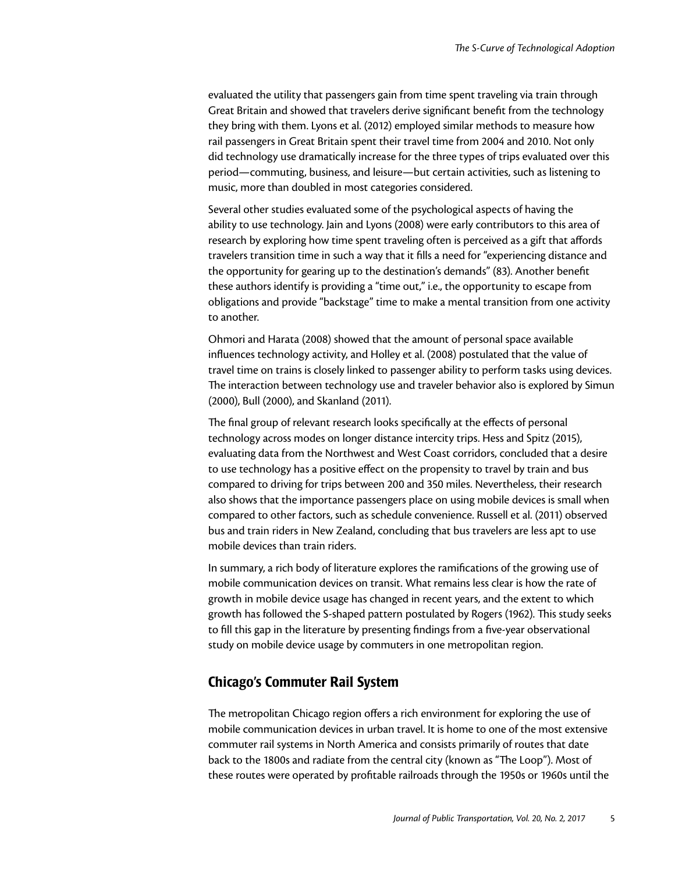evaluated the utility that passengers gain from time spent traveling via train through Great Britain and showed that travelers derive significant benefit from the technology they bring with them. Lyons et al. (2012) employed similar methods to measure how rail passengers in Great Britain spent their travel time from 2004 and 2010. Not only did technology use dramatically increase for the three types of trips evaluated over this period—commuting, business, and leisure—but certain activities, such as listening to music, more than doubled in most categories considered.

Several other studies evaluated some of the psychological aspects of having the ability to use technology. Jain and Lyons (2008) were early contributors to this area of research by exploring how time spent traveling often is perceived as a gift that affords travelers transition time in such a way that it fills a need for "experiencing distance and the opportunity for gearing up to the destination's demands" (83). Another benefit these authors identify is providing a "time out," i.e., the opportunity to escape from obligations and provide "backstage" time to make a mental transition from one activity to another.

Ohmori and Harata (2008) showed that the amount of personal space available influences technology activity, and Holley et al. (2008) postulated that the value of travel time on trains is closely linked to passenger ability to perform tasks using devices. The interaction between technology use and traveler behavior also is explored by Simun (2000), Bull (2000), and Skanland (2011).

The final group of relevant research looks specifically at the effects of personal technology across modes on longer distance intercity trips. Hess and Spitz (2015), evaluating data from the Northwest and West Coast corridors, concluded that a desire to use technology has a positive effect on the propensity to travel by train and bus compared to driving for trips between 200 and 350 miles. Nevertheless, their research also shows that the importance passengers place on using mobile devices is small when compared to other factors, such as schedule convenience. Russell et al. (2011) observed bus and train riders in New Zealand, concluding that bus travelers are less apt to use mobile devices than train riders.

In summary, a rich body of literature explores the ramifications of the growing use of mobile communication devices on transit. What remains less clear is how the rate of growth in mobile device usage has changed in recent years, and the extent to which growth has followed the S-shaped pattern postulated by Rogers (1962). This study seeks to fill this gap in the literature by presenting findings from a five-year observational study on mobile device usage by commuters in one metropolitan region.

## Chicago's Commuter Rail System

The metropolitan Chicago region offers a rich environment for exploring the use of mobile communication devices in urban travel. It is home to one of the most extensive commuter rail systems in North America and consists primarily of routes that date back to the 1800s and radiate from the central city (known as "The Loop"). Most of these routes were operated by profitable railroads through the 1950s or 1960s until the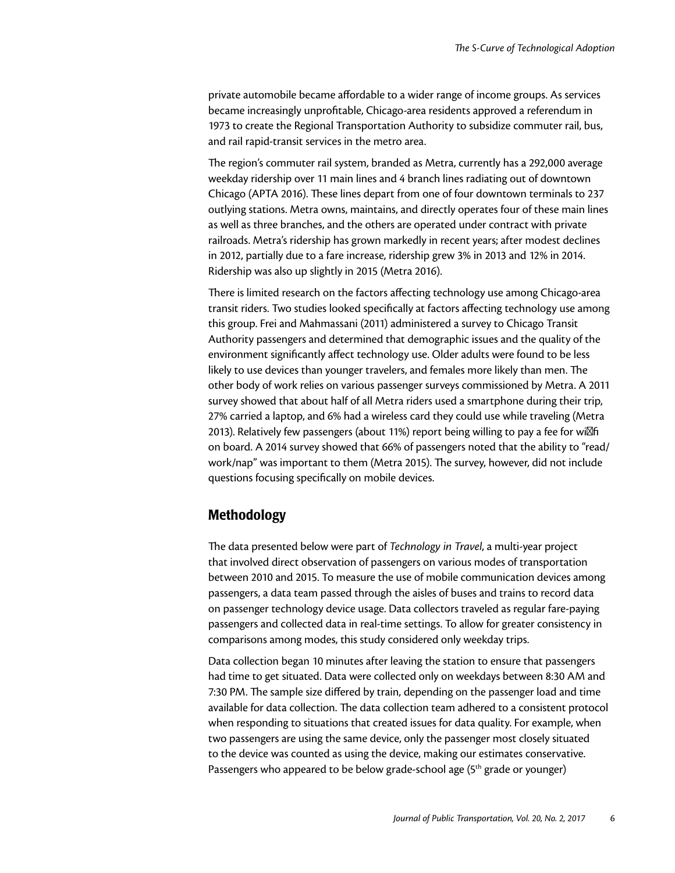private automobile became affordable to a wider range of income groups. As services became increasingly unprofitable, Chicago-area residents approved a referendum in 1973 to create the Regional Transportation Authority to subsidize commuter rail, bus, and rail rapid-transit services in the metro area.

The region's commuter rail system, branded as Metra, currently has a 292,000 average weekday ridership over 11 main lines and 4 branch lines radiating out of downtown Chicago (APTA 2016). These lines depart from one of four downtown terminals to 237 outlying stations. Metra owns, maintains, and directly operates four of these main lines as well as three branches, and the others are operated under contract with private railroads. Metra's ridership has grown markedly in recent years; after modest declines in 2012, partially due to a fare increase, ridership grew 3% in 2013 and 12% in 2014. Ridership was also up slightly in 2015 (Metra 2016).

There is limited research on the factors affecting technology use among Chicago-area transit riders. Two studies looked specifically at factors affecting technology use among this group. Frei and Mahmassani (2011) administered a survey to Chicago Transit Authority passengers and determined that demographic issues and the quality of the environment significantly affect technology use. Older adults were found to be less likely to use devices than younger travelers, and females more likely than men. The other body of work relies on various passenger surveys commissioned by Metra. A 2011 survey showed that about half of all Metra riders used a smartphone during their trip, 27% carried a laptop, and 6% had a wireless card they could use while traveling (Metra 2013). Relatively few passengers (about 11%) report being willing to pay a fee for wi fi on board. A 2014 survey showed that 66% of passengers noted that the ability to "read/ work/nap" was important to them (Metra 2015). The survey, however, did not include questions focusing specifically on mobile devices.

## Methodology

The data presented below were part of *Technology in Travel*, a multi-year project that involved direct observation of passengers on various modes of transportation between 2010 and 2015. To measure the use of mobile communication devices among passengers, a data team passed through the aisles of buses and trains to record data on passenger technology device usage. Data collectors traveled as regular fare-paying passengers and collected data in real-time settings. To allow for greater consistency in comparisons among modes, this study considered only weekday trips.

Data collection began 10 minutes after leaving the station to ensure that passengers had time to get situated. Data were collected only on weekdays between 8:30 AM and 7:30 PM. The sample size differed by train, depending on the passenger load and time available for data collection. The data collection team adhered to a consistent protocol when responding to situations that created issues for data quality. For example, when two passengers are using the same device, only the passenger most closely situated to the device was counted as using the device, making our estimates conservative. Passengers who appeared to be below grade-school age (5<sup>th</sup> grade or younger)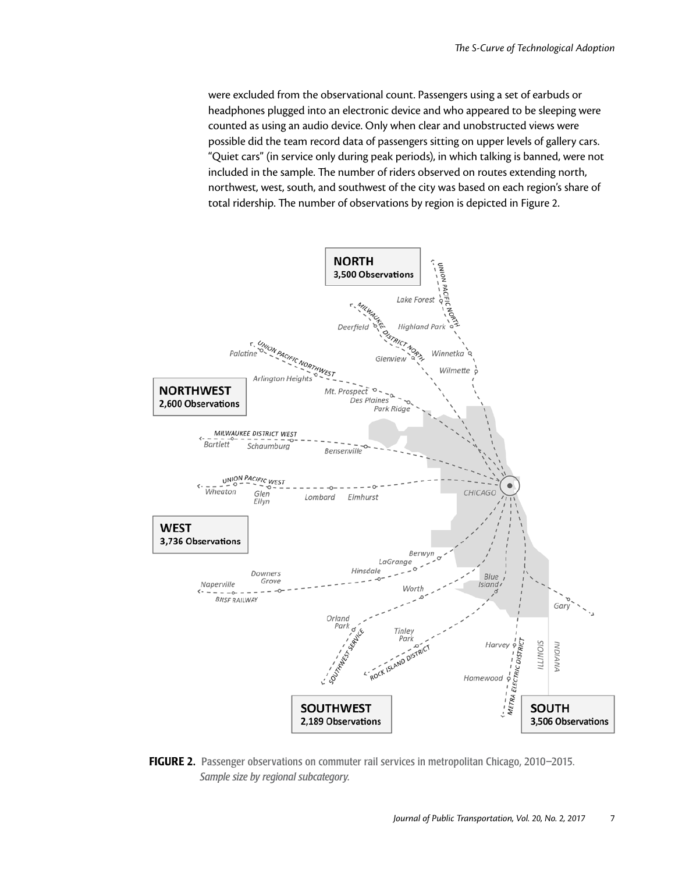were excluded from the observational count. Passengers using a set of earbuds or headphones plugged into an electronic device and who appeared to be sleeping were counted as using an audio device. Only when clear and unobstructed views were possible did the team record data of passengers sitting on upper levels of gallery cars. "Quiet cars" (in service only during peak periods), in which talking is banned, were not included in the sample. The number of riders observed on routes extending north, northwest, west, south, and southwest of the city was based on each region's share of total ridership. The number of observations by region is depicted in Figure 2.



FIGURE 2. Passenger observations on commuter rail services in metropolitan Chicago, 2010–2015. *Sample size by regional subcategory.*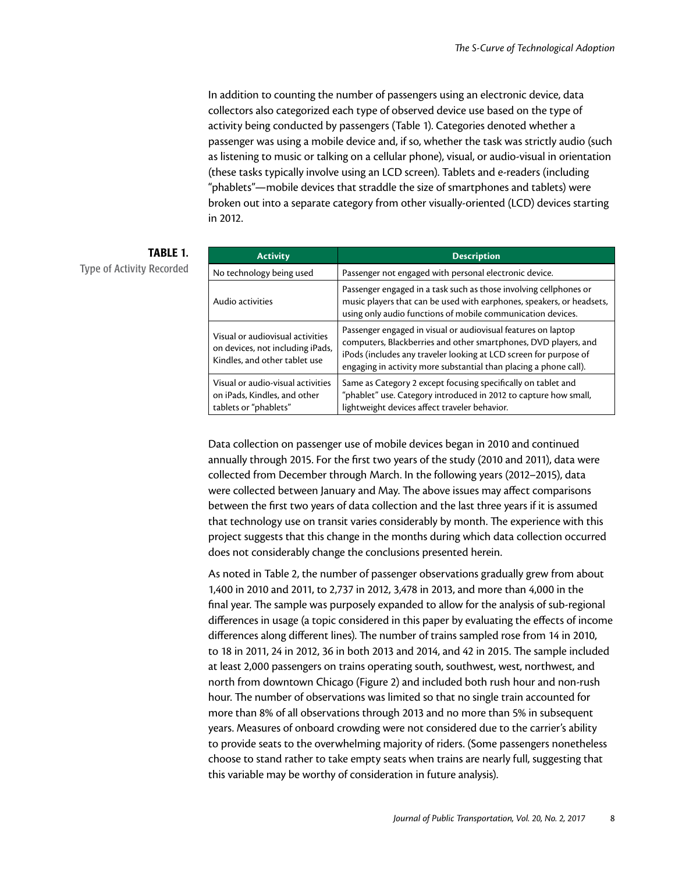In addition to counting the number of passengers using an electronic device, data collectors also categorized each type of observed device use based on the type of activity being conducted by passengers (Table 1). Categories denoted whether a passenger was using a mobile device and, if so, whether the task was strictly audio (such as listening to music or talking on a cellular phone), visual, or audio-visual in orientation (these tasks typically involve using an LCD screen). Tablets and e-readers (including "phablets"—mobile devices that straddle the size of smartphones and tablets) were broken out into a separate category from other visually-oriented (LCD) devices starting in 2012.

| <b>Activity</b>                                                                                       | <b>Description</b>                                                                                                                                                                                                                                                         |  |  |  |
|-------------------------------------------------------------------------------------------------------|----------------------------------------------------------------------------------------------------------------------------------------------------------------------------------------------------------------------------------------------------------------------------|--|--|--|
| No technology being used                                                                              | Passenger not engaged with personal electronic device.                                                                                                                                                                                                                     |  |  |  |
| Audio activities                                                                                      | Passenger engaged in a task such as those involving cellphones or<br>music players that can be used with earphones, speakers, or headsets,<br>using only audio functions of mobile communication devices.                                                                  |  |  |  |
| Visual or audiovisual activities<br>on devices, not including iPads,<br>Kindles, and other tablet use | Passenger engaged in visual or audiovisual features on laptop<br>computers, Blackberries and other smartphones, DVD players, and<br>iPods (includes any traveler looking at LCD screen for purpose of<br>engaging in activity more substantial than placing a phone call). |  |  |  |
| Visual or audio-visual activities<br>on iPads, Kindles, and other<br>tablets or "phablets"            | Same as Category 2 except focusing specifically on tablet and<br>"phablet" use. Category introduced in 2012 to capture how small,<br>lightweight devices affect traveler behavior.                                                                                         |  |  |  |

TABLE 1.

Type of Activity Recorded

Data collection on passenger use of mobile devices began in 2010 and continued annually through 2015. For the first two years of the study (2010 and 2011), data were collected from December through March. In the following years (2012–2015), data were collected between January and May. The above issues may affect comparisons between the first two years of data collection and the last three years if it is assumed that technology use on transit varies considerably by month. The experience with this project suggests that this change in the months during which data collection occurred does not considerably change the conclusions presented herein.

As noted in Table 2, the number of passenger observations gradually grew from about 1,400 in 2010 and 2011, to 2,737 in 2012, 3,478 in 2013, and more than 4,000 in the final year. The sample was purposely expanded to allow for the analysis of sub-regional differences in usage (a topic considered in this paper by evaluating the effects of income differences along different lines). The number of trains sampled rose from 14 in 2010, to 18 in 2011, 24 in 2012, 36 in both 2013 and 2014, and 42 in 2015. The sample included at least 2,000 passengers on trains operating south, southwest, west, northwest, and north from downtown Chicago (Figure 2) and included both rush hour and non-rush hour. The number of observations was limited so that no single train accounted for more than 8% of all observations through 2013 and no more than 5% in subsequent years. Measures of onboard crowding were not considered due to the carrier's ability to provide seats to the overwhelming majority of riders. (Some passengers nonetheless choose to stand rather to take empty seats when trains are nearly full, suggesting that this variable may be worthy of consideration in future analysis).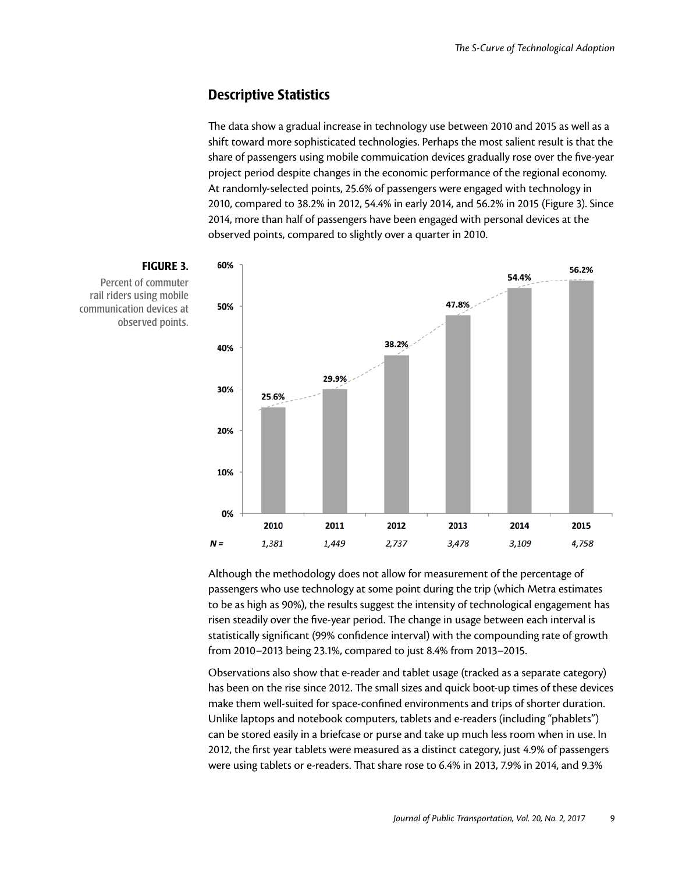### Descriptive Statistics

The data show a gradual increase in technology use between 2010 and 2015 as well as a shift toward more sophisticated technologies. Perhaps the most salient result is that the share of passengers using mobile commuication devices gradually rose over the five-year project period despite changes in the economic performance of the regional economy. At randomly-selected points, 25.6% of passengers were engaged with technology in 2010, compared to 38.2% in 2012, 54.4% in early 2014, and 56.2% in 2015 (Figure 3). Since 2014, more than half of passengers have been engaged with personal devices at the observed points, compared to slightly over a quarter in 2010.



Although the methodology does not allow for measurement of the percentage of passengers who use technology at some point during the trip (which Metra estimates to be as high as 90%), the results suggest the intensity of technological engagement has risen steadily over the five-year period. The change in usage between each interval is statistically significant (99% confidence interval) with the compounding rate of growth from 2010–2013 being 23.1%, compared to just 8.4% from 2013–2015.

Observations also show that e-reader and tablet usage (tracked as a separate category) has been on the rise since 2012. The small sizes and quick boot-up times of these devices make them well-suited for space-confined environments and trips of shorter duration. Unlike laptops and notebook computers, tablets and e-readers (including "phablets") can be stored easily in a briefcase or purse and take up much less room when in use. In 2012, the first year tablets were measured as a distinct category, just 4.9% of passengers were using tablets or e-readers. That share rose to 6.4% in 2013, 7.9% in 2014, and 9.3%

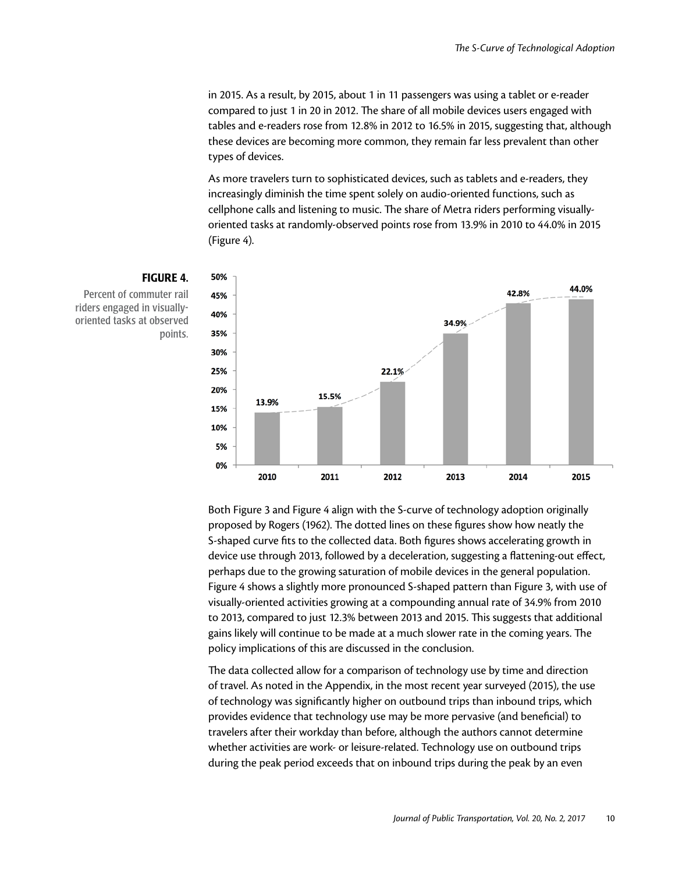in 2015. As a result, by 2015, about 1 in 11 passengers was using a tablet or e-reader compared to just 1 in 20 in 2012. The share of all mobile devices users engaged with tables and e-readers rose from 12.8% in 2012 to 16.5% in 2015, suggesting that, although these devices are becoming more common, they remain far less prevalent than other types of devices.

As more travelers turn to sophisticated devices, such as tablets and e-readers, they increasingly diminish the time spent solely on audio-oriented functions, such as cellphone calls and listening to music. The share of Metra riders performing visuallyoriented tasks at randomly-observed points rose from 13.9% in 2010 to 44.0% in 2015 (Figure 4).



#### FIGURE 4.

Percent of commuter rail riders engaged in visuallyoriented tasks at observed points.

> Both Figure 3 and Figure 4 align with the S-curve of technology adoption originally proposed by Rogers (1962). The dotted lines on these figures show how neatly the S-shaped curve fits to the collected data. Both figures shows accelerating growth in device use through 2013, followed by a deceleration, suggesting a flattening-out effect, perhaps due to the growing saturation of mobile devices in the general population. Figure 4 shows a slightly more pronounced S-shaped pattern than Figure 3, with use of visually-oriented activities growing at a compounding annual rate of 34.9% from 2010 to 2013, compared to just 12.3% between 2013 and 2015. This suggests that additional gains likely will continue to be made at a much slower rate in the coming years. The policy implications of this are discussed in the conclusion.

The data collected allow for a comparison of technology use by time and direction of travel. As noted in the Appendix, in the most recent year surveyed (2015), the use of technology was significantly higher on outbound trips than inbound trips, which provides evidence that technology use may be more pervasive (and beneficial) to travelers after their workday than before, although the authors cannot determine whether activities are work- or leisure-related. Technology use on outbound trips during the peak period exceeds that on inbound trips during the peak by an even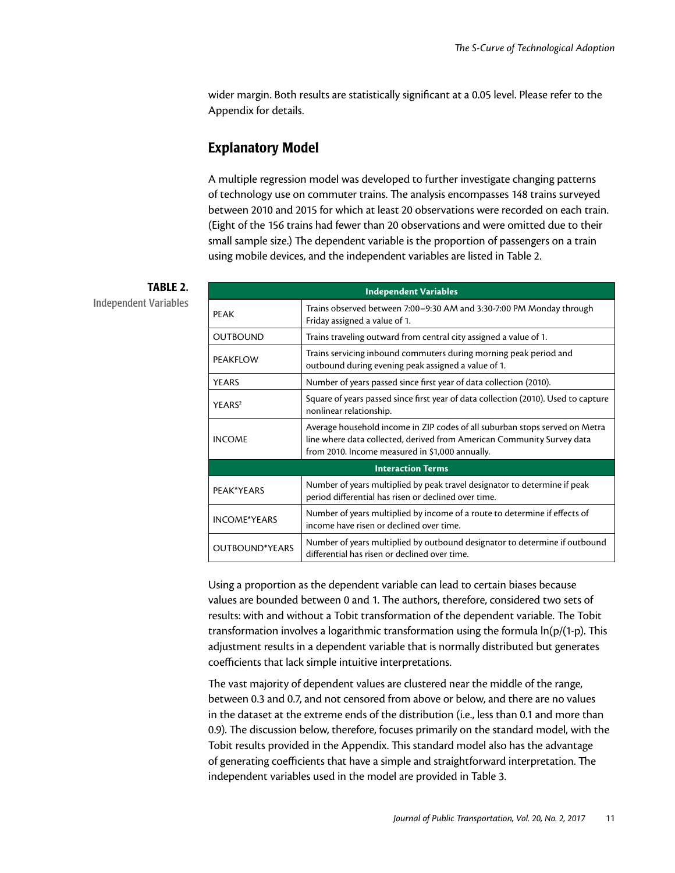wider margin. Both results are statistically significant at a 0.05 level. Please refer to the Appendix for details.

## Explanatory Model

A multiple regression model was developed to further investigate changing patterns of technology use on commuter trains. The analysis encompasses 148 trains surveyed between 2010 and 2015 for which at least 20 observations were recorded on each train. (Eight of the 156 trains had fewer than 20 observations and were omitted due to their small sample size.) The dependent variable is the proportion of passengers on a train using mobile devices, and the independent variables are listed in Table 2.

## TABLE 2.

Independent Variables

| <b>Independent Variables</b> |                                                                                                                                                                                                          |  |  |  |  |  |  |
|------------------------------|----------------------------------------------------------------------------------------------------------------------------------------------------------------------------------------------------------|--|--|--|--|--|--|
| <b>PEAK</b>                  | Trains observed between 7:00–9:30 AM and 3:30-7:00 PM Monday through<br>Friday assigned a value of 1.                                                                                                    |  |  |  |  |  |  |
| <b>OUTBOUND</b>              | Trains traveling outward from central city assigned a value of 1.                                                                                                                                        |  |  |  |  |  |  |
| PEAKFLOW                     | Trains servicing inbound commuters during morning peak period and<br>outbound during evening peak assigned a value of 1.                                                                                 |  |  |  |  |  |  |
| <b>YEARS</b>                 | Number of years passed since first year of data collection (2010).                                                                                                                                       |  |  |  |  |  |  |
| YEARS <sup>2</sup>           | Square of years passed since first year of data collection (2010). Used to capture<br>nonlinear relationship.                                                                                            |  |  |  |  |  |  |
| <b>INCOME</b>                | Average household income in ZIP codes of all suburban stops served on Metra<br>line where data collected, derived from American Community Survey data<br>from 2010. Income measured in \$1,000 annually. |  |  |  |  |  |  |
| <b>Interaction Terms</b>     |                                                                                                                                                                                                          |  |  |  |  |  |  |
| PEAK*YEARS                   | Number of years multiplied by peak travel designator to determine if peak<br>period differential has risen or declined over time.                                                                        |  |  |  |  |  |  |
| <b>INCOME*YEARS</b>          | Number of years multiplied by income of a route to determine if effects of<br>income have risen or declined over time.                                                                                   |  |  |  |  |  |  |
| <b>OUTBOUND*YEARS</b>        | Number of years multiplied by outbound designator to determine if outbound<br>differential has risen or declined over time.                                                                              |  |  |  |  |  |  |

Using a proportion as the dependent variable can lead to certain biases because values are bounded between 0 and 1. The authors, therefore, considered two sets of results: with and without a Tobit transformation of the dependent variable. The Tobit transformation involves a logarithmic transformation using the formula ln(p/(1-p). This adjustment results in a dependent variable that is normally distributed but generates coefficients that lack simple intuitive interpretations.

The vast majority of dependent values are clustered near the middle of the range, between 0.3 and 0.7, and not censored from above or below, and there are no values in the dataset at the extreme ends of the distribution (i.e., less than 0.1 and more than 0.9). The discussion below, therefore, focuses primarily on the standard model, with the Tobit results provided in the Appendix. This standard model also has the advantage of generating coefficients that have a simple and straightforward interpretation. The independent variables used in the model are provided in Table 3.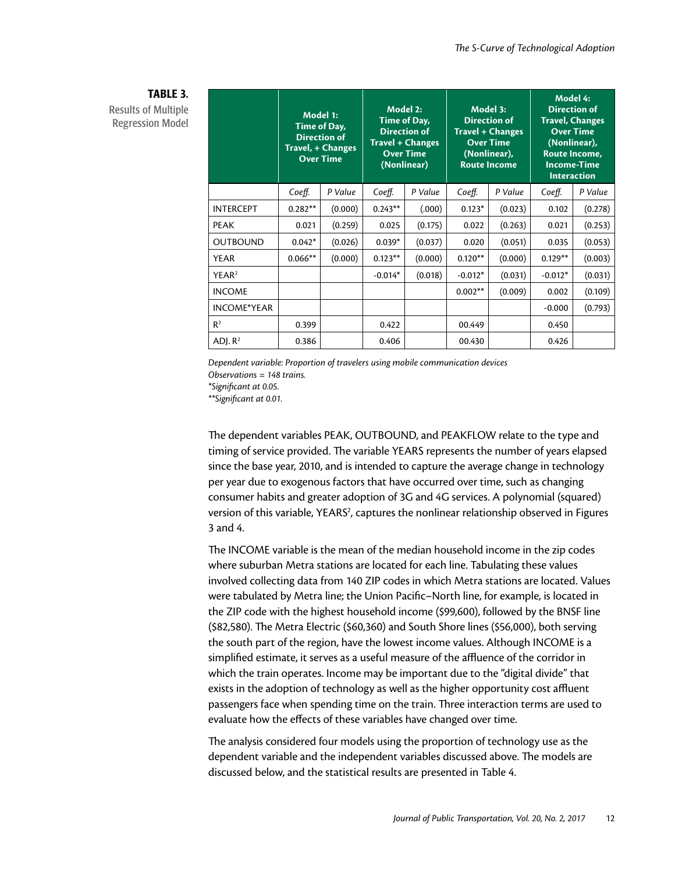|                    | Model 1:<br>Time of Day,<br><b>Direction of</b><br>Travel, + Changes<br><b>Over Time</b> |         | Model 2:<br>Time of Day,<br><b>Direction of</b><br><b>Travel + Changes</b><br><b>Over Time</b><br>(Nonlinear) |         | Model 3:<br><b>Direction of</b><br><b>Travel + Changes</b><br><b>Over Time</b><br>(Nonlinear),<br><b>Route Income</b> |         | Model 4:<br><b>Direction of</b><br><b>Travel, Changes</b><br><b>Over Time</b><br>(Nonlinear),<br>Route Income,<br><b>Income-Time</b><br><b>Interaction</b> |         |
|--------------------|------------------------------------------------------------------------------------------|---------|---------------------------------------------------------------------------------------------------------------|---------|-----------------------------------------------------------------------------------------------------------------------|---------|------------------------------------------------------------------------------------------------------------------------------------------------------------|---------|
|                    | Coeff.                                                                                   | P Value | Coeff.                                                                                                        | P Value | Coeff.                                                                                                                | P Value | Coeff.                                                                                                                                                     | P Value |
| <b>INTERCEPT</b>   | $0.282**$                                                                                | (0.000) | $0.243**$                                                                                                     | (.000)  | $0.123*$                                                                                                              | (0.023) | 0.102                                                                                                                                                      | (0.278) |
| <b>PEAK</b>        | 0.021                                                                                    | (0.259) | 0.025                                                                                                         | (0.175) | 0.022                                                                                                                 | (0.263) | 0.021                                                                                                                                                      | (0.253) |
| <b>OUTBOUND</b>    | $0.042*$                                                                                 | (0.026) | $0.039*$                                                                                                      | (0.037) | 0.020                                                                                                                 | (0.051) | 0.035                                                                                                                                                      | (0.053) |
| <b>YEAR</b>        | $0.066**$                                                                                | (0.000) | $0.123**$                                                                                                     | (0.000) | $0.120**$                                                                                                             | (0.000) | $0.129**$                                                                                                                                                  | (0.003) |
| YEAR <sup>2</sup>  |                                                                                          |         | $-0.014*$                                                                                                     | (0.018) | $-0.012*$                                                                                                             | (0.031) | $-0.012*$                                                                                                                                                  | (0.031) |
| <b>INCOME</b>      |                                                                                          |         |                                                                                                               |         | $0.002**$                                                                                                             | (0.009) | 0.002                                                                                                                                                      | (0.109) |
| <b>INCOME*YEAR</b> |                                                                                          |         |                                                                                                               |         |                                                                                                                       |         | $-0.000$                                                                                                                                                   | (0.793) |
| R <sup>2</sup>     | 0.399                                                                                    |         | 0.422                                                                                                         |         | 00.449                                                                                                                |         | 0.450                                                                                                                                                      |         |
| ADJ. $R^2$         | 0.386                                                                                    |         | 0.406                                                                                                         |         | 00.430                                                                                                                |         | 0.426                                                                                                                                                      |         |

#### TABLE 3. Results of Multiple Regression Model

*Dependent variable: Proportion of travelers using mobile communication devices* 

*Observations = 148 trains.* 

*\*Significant at 0.05.*

*\*\*Significant at 0.01.*

The dependent variables PEAK, OUTBOUND, and PEAKFLOW relate to the type and timing of service provided. The variable YEARS represents the number of years elapsed since the base year, 2010, and is intended to capture the average change in technology per year due to exogenous factors that have occurred over time, such as changing consumer habits and greater adoption of 3G and 4G services. A polynomial (squared) version of this variable, YEARS<sup>2</sup>, captures the nonlinear relationship observed in Figures 3 and 4.

The INCOME variable is the mean of the median household income in the zip codes where suburban Metra stations are located for each line. Tabulating these values involved collecting data from 140 ZIP codes in which Metra stations are located. Values were tabulated by Metra line; the Union Pacific–North line, for example, is located in the ZIP code with the highest household income (\$99,600), followed by the BNSF line (\$82,580). The Metra Electric (\$60,360) and South Shore lines (\$56,000), both serving the south part of the region, have the lowest income values. Although INCOME is a simplified estimate, it serves as a useful measure of the affluence of the corridor in which the train operates. Income may be important due to the "digital divide" that exists in the adoption of technology as well as the higher opportunity cost affluent passengers face when spending time on the train. Three interaction terms are used to evaluate how the effects of these variables have changed over time.

The analysis considered four models using the proportion of technology use as the dependent variable and the independent variables discussed above. The models are discussed below, and the statistical results are presented in Table 4.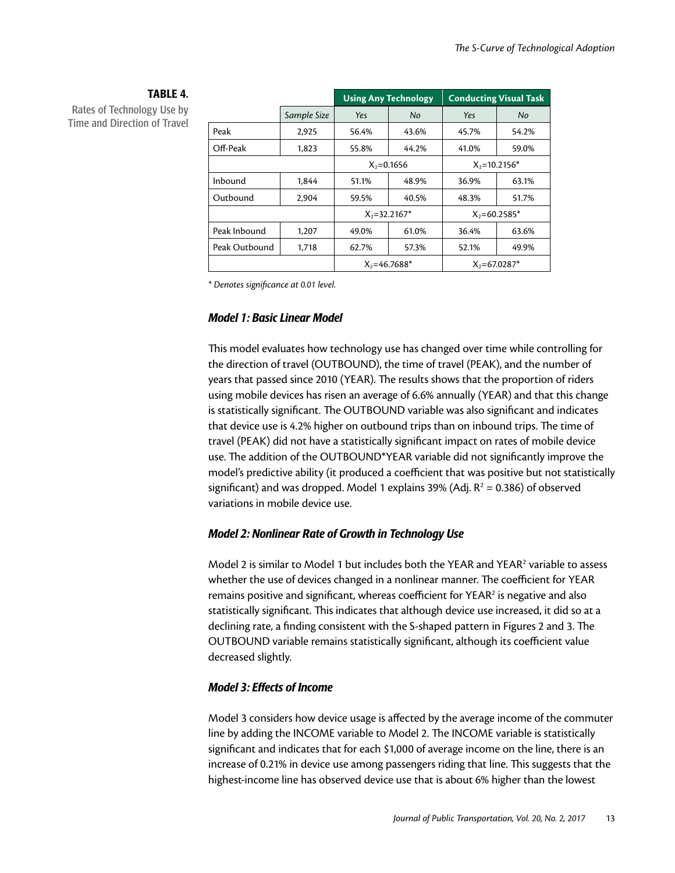#### TABLE 4. Rates of Technology Use by

Time and Direction of Travel

|               |             |                  | <b>Using Any Technology</b> | <b>Conducting Visual Task</b> |       |  |
|---------------|-------------|------------------|-----------------------------|-------------------------------|-------|--|
|               | Sample Size | Yes              | No                          | Yes                           | No    |  |
| Peak          | 2,925       | 56.4%            | 43.6%                       | 45.7%                         | 54.2% |  |
| Off-Peak      | 1,823       | 55.8%            | 44.2%                       | 41.0%                         | 59.0% |  |
|               |             | $X_2 = 0.1656$   |                             | $X_2$ =10.2156*               |       |  |
| Inbound       | 1.844       | 51.1%            | 48.9%                       | 36.9%                         | 63.1% |  |
| Outbound      | 2,904       | 59.5%            | 40.5%                       | 48.3%                         | 51.7% |  |
|               |             |                  | $X_2 = 32.2167$ *           | $X_2 = 60.2585$ *             |       |  |
| Peak Inbound  | 1,207       | 49.0%            | 61.0%                       | 36.4%                         | 63.6% |  |
| Peak Outbound | 1,718       | 62.7%            | 57.3%                       | 52.1%                         | 49.9% |  |
|               |             | $X_2 = 46.7688*$ |                             | $X_2 = 67.0287$ *             |       |  |

*\* Denotes significance at 0.01 level.* 

#### *Model 1: Basic Linear Model*

This model evaluates how technology use has changed over time while controlling for the direction of travel (OUTBOUND), the time of travel (PEAK), and the number of years that passed since 2010 (YEAR). The results shows that the proportion of riders using mobile devices has risen an average of 6.6% annually (YEAR) and that this change is statistically significant. The OUTBOUND variable was also significant and indicates that device use is 4.2% higher on outbound trips than on inbound trips. The time of travel (PEAK) did not have a statistically significant impact on rates of mobile device use. The addition of the OUTBOUND\*YEAR variable did not significantly improve the model's predictive ability (it produced a coefficient that was positive but not statistically significant) and was dropped. Model 1 explains 39% (Adj.  $R^2 = 0.386$ ) of observed variations in mobile device use.

#### *Model 2: Nonlinear Rate of Growth in Technology Use*

Model 2 is similar to Model 1 but includes both the YEAR and YEAR<sup>2</sup> variable to assess whether the use of devices changed in a nonlinear manner. The coefficient for YEAR remains positive and significant, whereas coefficient for YEAR<sup>2</sup> is negative and also statistically significant. This indicates that although device use increased, it did so at a declining rate, a finding consistent with the S-shaped pattern in Figures 2 and 3. The OUTBOUND variable remains statistically significant, although its coefficient value decreased slightly.

#### *Model 3: Effects of Income*

Model 3 considers how device usage is affected by the average income of the commuter line by adding the INCOME variable to Model 2. The INCOME variable is statistically significant and indicates that for each \$1,000 of average income on the line, there is an increase of 0.21% in device use among passengers riding that line. This suggests that the highest-income line has observed device use that is about 6% higher than the lowest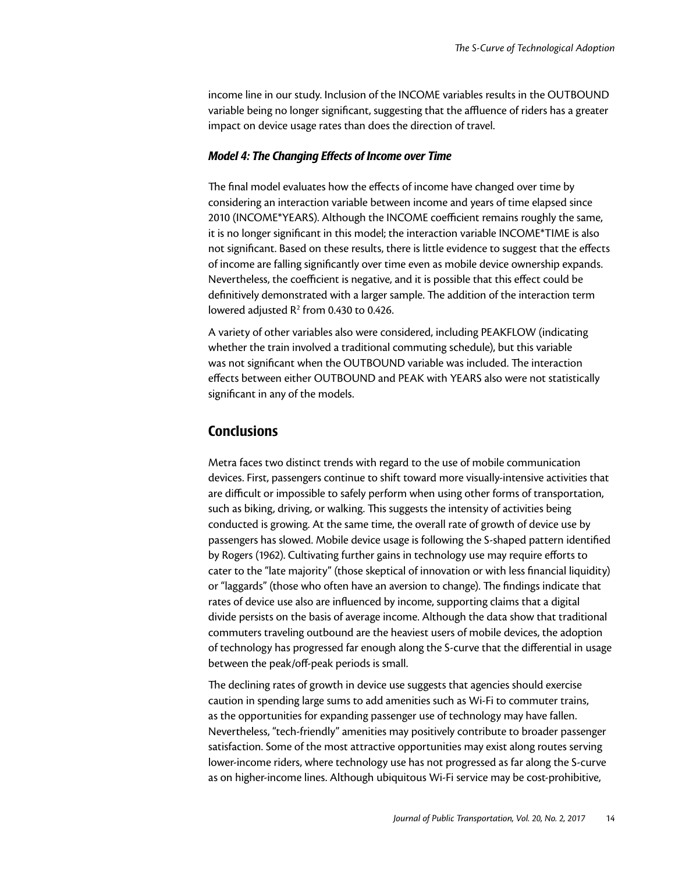income line in our study. Inclusion of the INCOME variables results in the OUTBOUND variable being no longer significant, suggesting that the affluence of riders has a greater impact on device usage rates than does the direction of travel.

#### *Model 4: The Changing Effects of Income over Time*

The final model evaluates how the effects of income have changed over time by considering an interaction variable between income and years of time elapsed since 2010 (INCOME\*YEARS). Although the INCOME coefficient remains roughly the same, it is no longer significant in this model; the interaction variable INCOME\*TIME is also not significant. Based on these results, there is little evidence to suggest that the effects of income are falling significantly over time even as mobile device ownership expands. Nevertheless, the coefficient is negative, and it is possible that this effect could be definitively demonstrated with a larger sample. The addition of the interaction term lowered adjusted  $R^2$  from 0.430 to 0.426.

A variety of other variables also were considered, including PEAKFLOW (indicating whether the train involved a traditional commuting schedule), but this variable was not significant when the OUTBOUND variable was included. The interaction effects between either OUTBOUND and PEAK with YEARS also were not statistically significant in any of the models.

### **Conclusions**

Metra faces two distinct trends with regard to the use of mobile communication devices. First, passengers continue to shift toward more visually-intensive activities that are difficult or impossible to safely perform when using other forms of transportation, such as biking, driving, or walking. This suggests the intensity of activities being conducted is growing. At the same time, the overall rate of growth of device use by passengers has slowed. Mobile device usage is following the S-shaped pattern identified by Rogers (1962). Cultivating further gains in technology use may require efforts to cater to the "late majority" (those skeptical of innovation or with less financial liquidity) or "laggards" (those who often have an aversion to change). The findings indicate that rates of device use also are influenced by income, supporting claims that a digital divide persists on the basis of average income. Although the data show that traditional commuters traveling outbound are the heaviest users of mobile devices, the adoption of technology has progressed far enough along the S-curve that the differential in usage between the peak/off-peak periods is small.

The declining rates of growth in device use suggests that agencies should exercise caution in spending large sums to add amenities such as Wi-Fi to commuter trains, as the opportunities for expanding passenger use of technology may have fallen. Nevertheless, "tech-friendly" amenities may positively contribute to broader passenger satisfaction. Some of the most attractive opportunities may exist along routes serving lower-income riders, where technology use has not progressed as far along the S-curve as on higher-income lines. Although ubiquitous Wi-Fi service may be cost-prohibitive,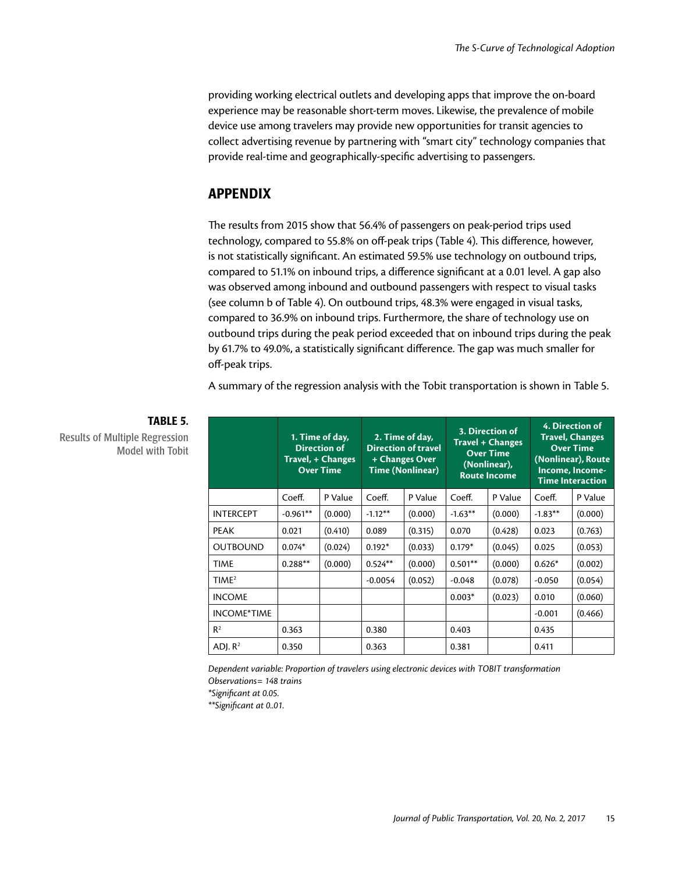providing working electrical outlets and developing apps that improve the on-board experience may be reasonable short-term moves. Likewise, the prevalence of mobile device use among travelers may provide new opportunities for transit agencies to collect advertising revenue by partnering with "smart city" technology companies that provide real-time and geographically-specific advertising to passengers.

## APPENDIX

The results from 2015 show that 56.4% of passengers on peak-period trips used technology, compared to 55.8% on off-peak trips (Table 4). This difference, however, is not statistically significant. An estimated 59.5% use technology on outbound trips, compared to 51.1% on inbound trips, a difference significant at a 0.01 level. A gap also was observed among inbound and outbound passengers with respect to visual tasks (see column b of Table 4). On outbound trips, 48.3% were engaged in visual tasks, compared to 36.9% on inbound trips. Furthermore, the share of technology use on outbound trips during the peak period exceeded that on inbound trips during the peak by 61.7% to 49.0%, a statistically significant difference. The gap was much smaller for off-peak trips.

A summary of the regression analysis with the Tobit transportation is shown in Table 5.

|                   | 1. Time of day,<br><b>Direction of</b><br>Travel, + Changes<br><b>Over Time</b> |         | 2. Time of day,<br><b>Direction of travel</b><br>+ Changes Over<br>Time (Nonlinear) |         | 3. Direction of<br><b>Travel + Changes</b><br><b>Over Time</b><br>(Nonlinear),<br><b>Route Income</b> |         | 4. Direction of<br><b>Travel, Changes</b><br><b>Over Time</b><br>(Nonlinear), Route<br>Income, Income-<br><b>Time Interaction</b> |         |
|-------------------|---------------------------------------------------------------------------------|---------|-------------------------------------------------------------------------------------|---------|-------------------------------------------------------------------------------------------------------|---------|-----------------------------------------------------------------------------------------------------------------------------------|---------|
|                   | Coeff.                                                                          | P Value | Coeff.                                                                              | P Value | Coeff.                                                                                                | P Value | Coeff.                                                                                                                            | P Value |
| <b>INTERCEPT</b>  | $-0.961**$                                                                      | (0.000) | $-1.12***$                                                                          | (0.000) | $-1.63***$                                                                                            | (0.000) | $-1.83**$                                                                                                                         | (0.000) |
| <b>PEAK</b>       | 0.021                                                                           | (0.410) | 0.089                                                                               | (0.315) | 0.070                                                                                                 | (0.428) | 0.023                                                                                                                             | (0.763) |
| <b>OUTBOUND</b>   | $0.074*$                                                                        | (0.024) | $0.192*$                                                                            | (0.033) | $0.179*$                                                                                              | (0.045) | 0.025                                                                                                                             | (0.053) |
| <b>TIME</b>       | $0.288**$                                                                       | (0.000) | $0.524**$                                                                           | (0.000) | $0.501**$                                                                                             | (0.000) | $0.626*$                                                                                                                          | (0.002) |
| TIME <sup>2</sup> |                                                                                 |         | $-0.0054$                                                                           | (0.052) | $-0.048$                                                                                              | (0.078) | $-0.050$                                                                                                                          | (0.054) |
| <b>INCOME</b>     |                                                                                 |         |                                                                                     |         | $0.003*$                                                                                              | (0.023) | 0.010                                                                                                                             | (0.060) |
| INCOME*TIME       |                                                                                 |         |                                                                                     |         |                                                                                                       |         | $-0.001$                                                                                                                          | (0.466) |
| $R^2$             | 0.363                                                                           |         | 0.380                                                                               |         | 0.403                                                                                                 |         | 0.435                                                                                                                             |         |
| ADJ. $R^2$        | 0.350                                                                           |         | 0.363                                                                               |         | 0.381                                                                                                 |         | 0.411                                                                                                                             |         |

## TABLE 5.

Results of Multiple Regression Model with Tobit

> *Dependent variable: Proportion of travelers using electronic devices with TOBIT transformation Observations= 148 trains*

*\*Significant at 0.05.* 

*\*\*Significant at 0..01.*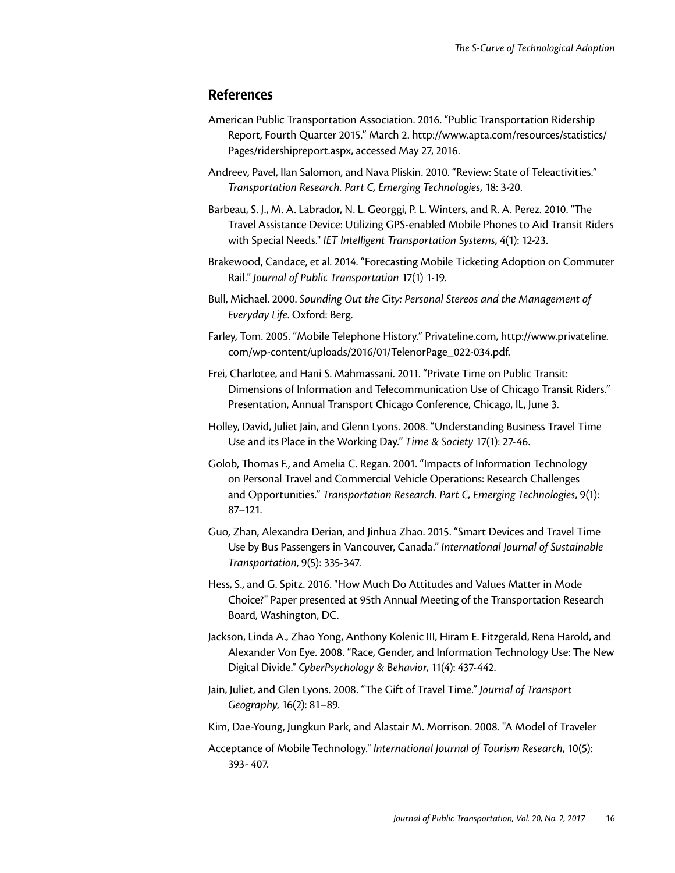#### **References**

- American Public Transportation Association. 2016. "Public Transportation Ridership Report, Fourth Quarter 2015." March 2. [http://www.apta.com/resources/statistics/](http://www.apta.com/resources/statistics/Pages/ridershipreport.aspx) [Pages/ridershipreport.aspx,](http://www.apta.com/resources/statistics/Pages/ridershipreport.aspx) accessed May 27, 2016.
- Andreev, Pavel, Ilan Salomon, and Nava Pliskin. 2010. "Review: State of Teleactivities." *Transportation Research. Part C, Emerging Technologies*, 18: 3-20.
- Barbeau, S. J., M. A. Labrador, N. L. Georggi, P. L. Winters, and R. A. Perez. 2010. "The Travel Assistance Device: Utilizing GPS-enabled Mobile Phones to Aid Transit Riders with Special Needs." *IET Intelligent Transportation Systems*, 4(1): 12-23.
- Brakewood, Candace, et al. 2014. "Forecasting Mobile Ticketing Adoption on Commuter Rail." *Journal of Public Transportation* 17(1) 1-19.
- Bull, Michael. 2000. *Sounding Out the City: Personal Stereos and the Management of Everyday Life*. Oxford: Berg.
- Farley, Tom. 2005. "Mobile Telephone History." <Privateline.com>, [http://www.privateline.](http://www.privateline.com/wp-content/uploads/2016/01/TelenorPage_022-034.pdf) [com/wp-content/uploads/2016/01/TelenorPage\\_022-034.pdf](http://www.privateline.com/wp-content/uploads/2016/01/TelenorPage_022-034.pdf).
- Frei, Charlotee, and Hani S. Mahmassani. 2011. "Private Time on Public Transit: Dimensions of Information and Telecommunication Use of Chicago Transit Riders." Presentation, Annual Transport Chicago Conference, Chicago, IL, June 3.
- Holley, David, Juliet Jain, and Glenn Lyons. 2008. "Understanding Business Travel Time Use and its Place in the Working Day." *Time & Society* 17(1): 27-46.
- Golob, Thomas F., and Amelia C. Regan. 2001. "Impacts of Information Technology on Personal Travel and Commercial Vehicle Operations: Research Challenges and Opportunities." *Transportation Research. Part C, Emerging Technologies*, 9(1): 87–121.
- Guo, Zhan, Alexandra Derian, and Jinhua Zhao. 2015. "Smart Devices and Travel Time Use by Bus Passengers in Vancouver, Canada." *International Journal of Sustainable Transportation*, 9(5): 335-347.
- Hess, S., and G. Spitz. 2016. "How Much Do Attitudes and Values Matter in Mode Choice?" Paper presented at 95th Annual Meeting of the Transportation Research Board, Washington, DC.
- Jackson, Linda A., Zhao Yong, Anthony Kolenic III, Hiram E. Fitzgerald, Rena Harold, and Alexander Von Eye. 2008. "Race, Gender, and Information Technology Use: The New Digital Divide." *CyberPsychology & Behavior*, 11(4): 437-442.
- Jain, Juliet, and Glen Lyons. 2008. "The Gift of Travel Time." *Journal of Transport Geography*, 16(2): 81–89.
- Kim, Dae-Young, Jungkun Park, and Alastair M. Morrison. 2008. "A Model of Traveler
- Acceptance of Mobile Technology." *International Journal of Tourism Research*, 10(5): 393- 407.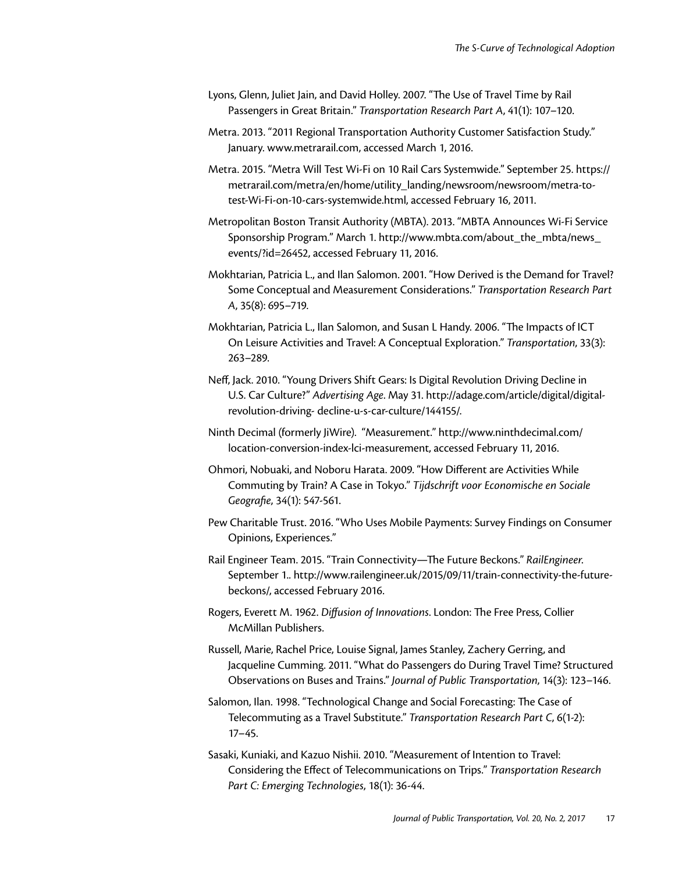- Lyons, Glenn, Juliet Jain, and David Holley. 2007. "The Use of Travel Time by Rail Passengers in Great Britain." *Transportation Research Part A*, 41(1): 107–120.
- Metra. 2013. "2011 Regional Transportation Authority Customer Satisfaction Study." January. [www.metrarail.com,](www.metrarail.com) accessed March 1, 2016.
- Metra. 2015. "Metra Will Test Wi-Fi on 10 Rail Cars Systemwide." September 25. [https://](https://metrarail.com/metra/en/home/utility_landing/newsroom/newsroom/metra-to-test-Wi-Fi-on-10-cars-systemwide.html) [metrarail.com/metra/en/home/utility\\_landing/newsroom/newsroom/metra-to](https://metrarail.com/metra/en/home/utility_landing/newsroom/newsroom/metra-to-test-Wi-Fi-on-10-cars-systemwide.html)[test-Wi-Fi-on-10-cars-systemwide.html,](https://metrarail.com/metra/en/home/utility_landing/newsroom/newsroom/metra-to-test-Wi-Fi-on-10-cars-systemwide.html) accessed February 16, 2011.
- Metropolitan Boston Transit Authority (MBTA). 2013. "MBTA Announces Wi-Fi Service Sponsorship Program." March 1. [http://www.mbta.com/about\\_the\\_mbta/news\\_](http://www.mbta.com/about_the_mbta/news_events/?id=26452,) [events/?id=26452,](http://www.mbta.com/about_the_mbta/news_events/?id=26452,) accessed February 11, 2016.
- Mokhtarian, Patricia L., and Ilan Salomon. 2001. "How Derived is the Demand for Travel? Some Conceptual and Measurement Considerations." *Transportation Research Part A*, 35(8): 695–719.
- Mokhtarian, Patricia L., Ilan Salomon, and Susan L Handy. 2006. "The Impacts of ICT On Leisure Activities and Travel: A Conceptual Exploration." *Transportation*, 33(3): 263–289.
- Neff, Jack. 2010. "Young Drivers Shift Gears: Is Digital Revolution Driving Decline in U.S. Car Culture?" *Advertising Age*. May 31. <http://adage.com/article/digital/digital>revolution-driving- decline-u-s-car-culture/144155/.
- Ninth Decimal (formerly JiWire). "Measurement." [http://www.ninthdecimal.com/](http://www.ninthdecimal.com/location) [location](http://www.ninthdecimal.com/location)-conversion-index-lci-measurement, accessed February 11, 2016.
- Ohmori, Nobuaki, and Noboru Harata. 2009. "How Different are Activities While Commuting by Train? A Case in Tokyo." *Tijdschrift voor Economische en Sociale Geografie*, 34(1): 547-561.
- Pew Charitable Trust. 2016. "Who Uses Mobile Payments: Survey Findings on Consumer Opinions, Experiences."
- Rail Engineer Team. 2015. "Train Connectivity—The Future Beckons." *RailEngineer*. September 1..<http://www.railengineer.uk/2015/09/11/train>-connectivity-the-futurebeckons/, accessed February 2016.
- Rogers, Everett M. 1962. *Diffusion of Innovations*. London: The Free Press, Collier McMillan Publishers.
- Russell, Marie, Rachel Price, Louise Signal, James Stanley, Zachery Gerring, and Jacqueline Cumming. 2011. "What do Passengers do During Travel Time? Structured Observations on Buses and Trains." *Journal of Public Transportation*, 14(3): 123–146.
- Salomon, Ilan. 1998. "Technological Change and Social Forecasting: The Case of Telecommuting as a Travel Substitute." *Transportation Research Part C*, 6(1-2): 17–45.
- Sasaki, Kuniaki, and Kazuo Nishii. 2010. "Measurement of Intention to Travel: Considering the Effect of Telecommunications on Trips." *Transportation Research Part C: Emerging Technologies*, 18(1): 36-44.